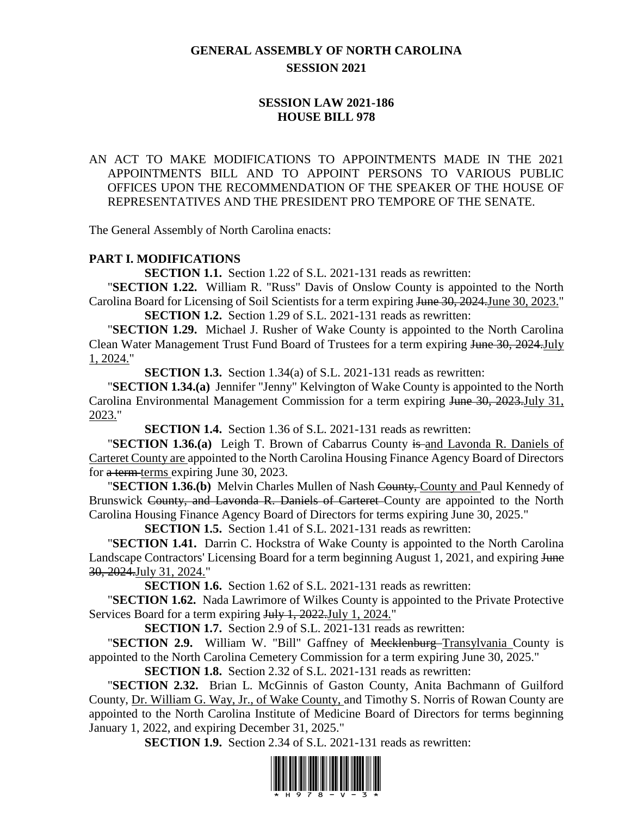# **GENERAL ASSEMBLY OF NORTH CAROLINA SESSION 2021**

# **SESSION LAW 2021-186 HOUSE BILL 978**

# AN ACT TO MAKE MODIFICATIONS TO APPOINTMENTS MADE IN THE 2021 APPOINTMENTS BILL AND TO APPOINT PERSONS TO VARIOUS PUBLIC OFFICES UPON THE RECOMMENDATION OF THE SPEAKER OF THE HOUSE OF REPRESENTATIVES AND THE PRESIDENT PRO TEMPORE OF THE SENATE.

The General Assembly of North Carolina enacts:

#### **PART I. MODIFICATIONS**

**SECTION 1.1.** Section 1.22 of S.L. 2021-131 reads as rewritten:

"**SECTION 1.22.** William R. "Russ" Davis of Onslow County is appointed to the North Carolina Board for Licensing of Soil Scientists for a term expiring <del>June 30, 2024.</del>June 30, 2023."

**SECTION 1.2.** Section 1.29 of S.L. 2021-131 reads as rewritten:

"**SECTION 1.29.** Michael J. Rusher of Wake County is appointed to the North Carolina Clean Water Management Trust Fund Board of Trustees for a term expiring June 30, 2024.July 1, 2024."

**SECTION 1.3.** Section 1.34(a) of S.L. 2021-131 reads as rewritten:

"**SECTION 1.34.(a)** Jennifer "Jenny" Kelvington of Wake County is appointed to the North Carolina Environmental Management Commission for a term expiring June 30, 2023. July 31, 2023."

**SECTION 1.4.** Section 1.36 of S.L. 2021-131 reads as rewritten:

**"SECTION 1.36.(a)** Leigh T. Brown of Cabarrus County is and Lavonda R. Daniels of Carteret County are appointed to the North Carolina Housing Finance Agency Board of Directors for a term terms expiring June 30, 2023.

"**SECTION 1.36.(b)** Melvin Charles Mullen of Nash County, County and Paul Kennedy of Brunswick County, and Lavonda R. Daniels of Carteret County are appointed to the North Carolina Housing Finance Agency Board of Directors for terms expiring June 30, 2025."

**SECTION 1.5.** Section 1.41 of S.L. 2021-131 reads as rewritten:

"**SECTION 1.41.** Darrin C. Hockstra of Wake County is appointed to the North Carolina Landscape Contractors' Licensing Board for a term beginning August 1, 2021, and expiring June 30, 2024.July 31, 2024."

**SECTION 1.6.** Section 1.62 of S.L. 2021-131 reads as rewritten:

"**SECTION 1.62.** Nada Lawrimore of Wilkes County is appointed to the Private Protective Services Board for a term expiring July 1, 2022. July 1, 2024."

**SECTION 1.7.** Section 2.9 of S.L. 2021-131 reads as rewritten:

"**SECTION 2.9.** William W. "Bill" Gaffney of Mecklenburg-Transylvania County is appointed to the North Carolina Cemetery Commission for a term expiring June 30, 2025."

**SECTION 1.8.** Section 2.32 of S.L. 2021-131 reads as rewritten:

"**SECTION 2.32.** Brian L. McGinnis of Gaston County, Anita Bachmann of Guilford County, Dr. William G. Way, Jr., of Wake County, and Timothy S. Norris of Rowan County are appointed to the North Carolina Institute of Medicine Board of Directors for terms beginning January 1, 2022, and expiring December 31, 2025."

**SECTION 1.9.** Section 2.34 of S.L. 2021-131 reads as rewritten:

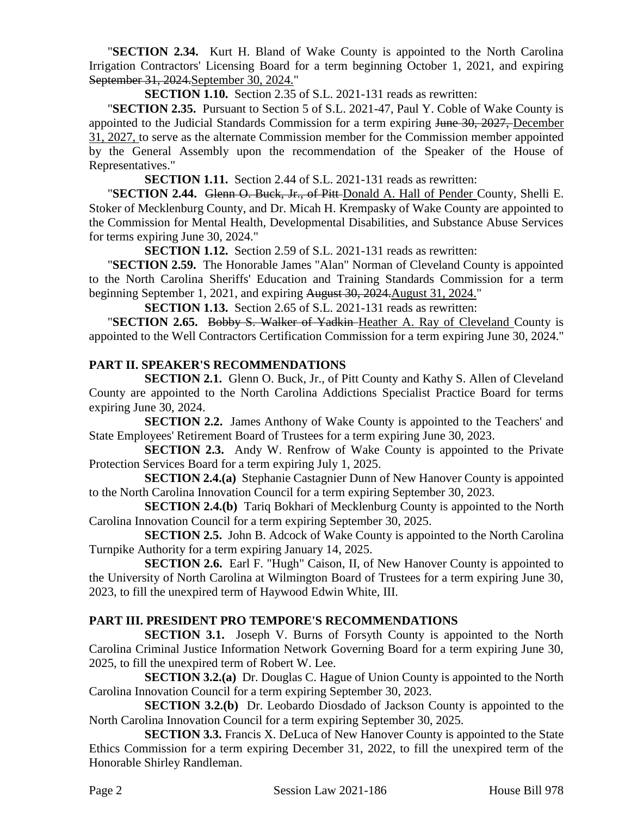"**SECTION 2.34.** Kurt H. Bland of Wake County is appointed to the North Carolina Irrigation Contractors' Licensing Board for a term beginning October 1, 2021, and expiring September 31, 2024.September 30, 2024."

**SECTION 1.10.** Section 2.35 of S.L. 2021-131 reads as rewritten:

"**SECTION 2.35.** Pursuant to Section 5 of S.L. 2021-47, Paul Y. Coble of Wake County is appointed to the Judicial Standards Commission for a term expiring June 30, 2027, December 31, 2027, to serve as the alternate Commission member for the Commission member appointed by the General Assembly upon the recommendation of the Speaker of the House of Representatives."

**SECTION 1.11.** Section 2.44 of S.L. 2021-131 reads as rewritten:

"**SECTION 2.44.** Glenn O. Buck, Jr., of Pitt Donald A. Hall of Pender County, Shelli E. Stoker of Mecklenburg County, and Dr. Micah H. Krempasky of Wake County are appointed to the Commission for Mental Health, Developmental Disabilities, and Substance Abuse Services for terms expiring June 30, 2024."

**SECTION 1.12.** Section 2.59 of S.L. 2021-131 reads as rewritten:

"**SECTION 2.59.** The Honorable James "Alan" Norman of Cleveland County is appointed to the North Carolina Sheriffs' Education and Training Standards Commission for a term beginning September 1, 2021, and expiring August 30, 2024. August 31, 2024."

**SECTION 1.13.** Section 2.65 of S.L. 2021-131 reads as rewritten:

"**SECTION 2.65.** Bobby S. Walker of Yadkin Heather A. Ray of Cleveland County is appointed to the Well Contractors Certification Commission for a term expiring June 30, 2024."

### **PART II. SPEAKER'S RECOMMENDATIONS**

**SECTION 2.1.** Glenn O. Buck, Jr., of Pitt County and Kathy S. Allen of Cleveland County are appointed to the North Carolina Addictions Specialist Practice Board for terms expiring June 30, 2024.

**SECTION 2.2.** James Anthony of Wake County is appointed to the Teachers' and State Employees' Retirement Board of Trustees for a term expiring June 30, 2023.

**SECTION 2.3.** Andy W. Renfrow of Wake County is appointed to the Private Protection Services Board for a term expiring July 1, 2025.

**SECTION 2.4.(a)** Stephanie Castagnier Dunn of New Hanover County is appointed to the North Carolina Innovation Council for a term expiring September 30, 2023.

**SECTION 2.4.(b)** Tariq Bokhari of Mecklenburg County is appointed to the North Carolina Innovation Council for a term expiring September 30, 2025.

**SECTION 2.5.** John B. Adcock of Wake County is appointed to the North Carolina Turnpike Authority for a term expiring January 14, 2025.

**SECTION 2.6.** Earl F. "Hugh" Caison, II, of New Hanover County is appointed to the University of North Carolina at Wilmington Board of Trustees for a term expiring June 30, 2023, to fill the unexpired term of Haywood Edwin White, III.

# **PART III. PRESIDENT PRO TEMPORE'S RECOMMENDATIONS**

**SECTION 3.1.** Joseph V. Burns of Forsyth County is appointed to the North Carolina Criminal Justice Information Network Governing Board for a term expiring June 30, 2025, to fill the unexpired term of Robert W. Lee.

**SECTION 3.2.(a)** Dr. Douglas C. Hague of Union County is appointed to the North Carolina Innovation Council for a term expiring September 30, 2023.

**SECTION 3.2.(b)** Dr. Leobardo Diosdado of Jackson County is appointed to the North Carolina Innovation Council for a term expiring September 30, 2025.

**SECTION 3.3.** Francis X. DeLuca of New Hanover County is appointed to the State Ethics Commission for a term expiring December 31, 2022, to fill the unexpired term of the Honorable Shirley Randleman.